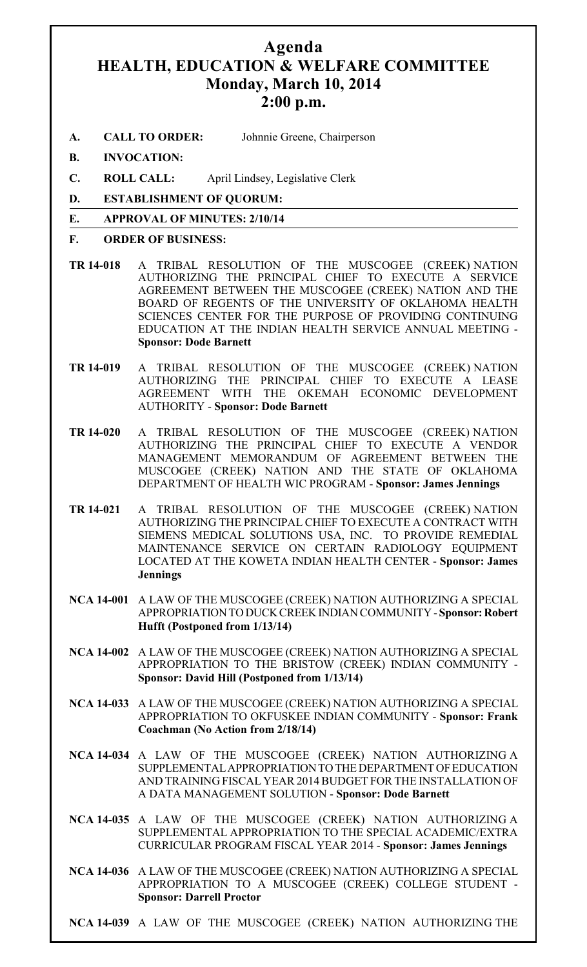## **Agenda HEALTH, EDUCATION & WELFARE COMMITTEE Monday, March 10, 2014 2:00 p.m.**

- **A. CALL TO ORDER:** Johnnie Greene, Chairperson
- **B. INVOCATION:**
- **C. ROLL CALL:** April Lindsey, Legislative Clerk
- **D. ESTABLISHMENT OF QUORUM:**

## **E. APPROVAL OF MINUTES: 2/10/14**

- **F. ORDER OF BUSINESS:**
- **TR 14-018** A TRIBAL RESOLUTION OF THE MUSCOGEE (CREEK) NATION AUTHORIZING THE PRINCIPAL CHIEF TO EXECUTE A SERVICE AGREEMENT BETWEEN THE MUSCOGEE (CREEK) NATION AND THE BOARD OF REGENTS OF THE UNIVERSITY OF OKLAHOMA HEALTH SCIENCES CENTER FOR THE PURPOSE OF PROVIDING CONTINUING EDUCATION AT THE INDIAN HEALTH SERVICE ANNUAL MEETING - **Sponsor: Dode Barnett**
- **TR 14-019** A TRIBAL RESOLUTION OF THE MUSCOGEE (CREEK) NATION AUTHORIZING THE PRINCIPAL CHIEF TO EXECUTE A LEASE AGREEMENT WITH THE OKEMAH ECONOMIC DEVELOPMENT AUTHORITY - **Sponsor: Dode Barnett**
- **TR 14-020** A TRIBAL RESOLUTION OF THE MUSCOGEE (CREEK) NATION AUTHORIZING THE PRINCIPAL CHIEF TO EXECUTE A VENDOR MANAGEMENT MEMORANDUM OF AGREEMENT BETWEEN THE MUSCOGEE (CREEK) NATION AND THE STATE OF OKLAHOMA DEPARTMENT OF HEALTH WIC PROGRAM - **Sponsor: James Jennings**
- **TR 14-021** A TRIBAL RESOLUTION OF THE MUSCOGEE (CREEK) NATION AUTHORIZING THE PRINCIPAL CHIEF TO EXECUTE A CONTRACT WITH SIEMENS MEDICAL SOLUTIONS USA, INC. TO PROVIDE REMEDIAL MAINTENANCE SERVICE ON CERTAIN RADIOLOGY EQUIPMENT LOCATED AT THE KOWETA INDIAN HEALTH CENTER - **Sponsor: James Jennings**
- **NCA 14-001** A LAW OF THE MUSCOGEE (CREEK) NATION AUTHORIZING A SPECIAL APPROPRIATION TO DUCK CREEK INDIAN COMMUNITY - **Sponsor: Robert Hufft (Postponed from 1/13/14)**
- **NCA 14-002** A LAW OF THE MUSCOGEE (CREEK) NATION AUTHORIZING A SPECIAL APPROPRIATION TO THE BRISTOW (CREEK) INDIAN COMMUNITY - **Sponsor: David Hill (Postponed from 1/13/14)**
- **NCA 14-033** A LAW OF THE MUSCOGEE (CREEK) NATION AUTHORIZING A SPECIAL APPROPRIATION TO OKFUSKEE INDIAN COMMUNITY - **Sponsor: Frank Coachman (No Action from 2/18/14)**
- **NCA 14-034** A LAW OF THE MUSCOGEE (CREEK) NATION AUTHORIZING A SUPPLEMENTAL APPROPRIATION TO THE DEPARTMENT OF EDUCATION AND TRAINING FISCAL YEAR 2014 BUDGET FOR THE INSTALLATION OF A DATA MANAGEMENT SOLUTION - **Sponsor: Dode Barnett**
- **NCA 14-035** A LAW OF THE MUSCOGEE (CREEK) NATION AUTHORIZING A SUPPLEMENTAL APPROPRIATION TO THE SPECIAL ACADEMIC/EXTRA CURRICULAR PROGRAM FISCAL YEAR 2014 - **Sponsor: James Jennings**
- **NCA 14-036** A LAW OF THE MUSCOGEE (CREEK) NATION AUTHORIZING A SPECIAL APPROPRIATION TO A MUSCOGEE (CREEK) COLLEGE STUDENT - **Sponsor: Darrell Proctor**
- **NCA 14-039** A LAW OF THE MUSCOGEE (CREEK) NATION AUTHORIZING THE